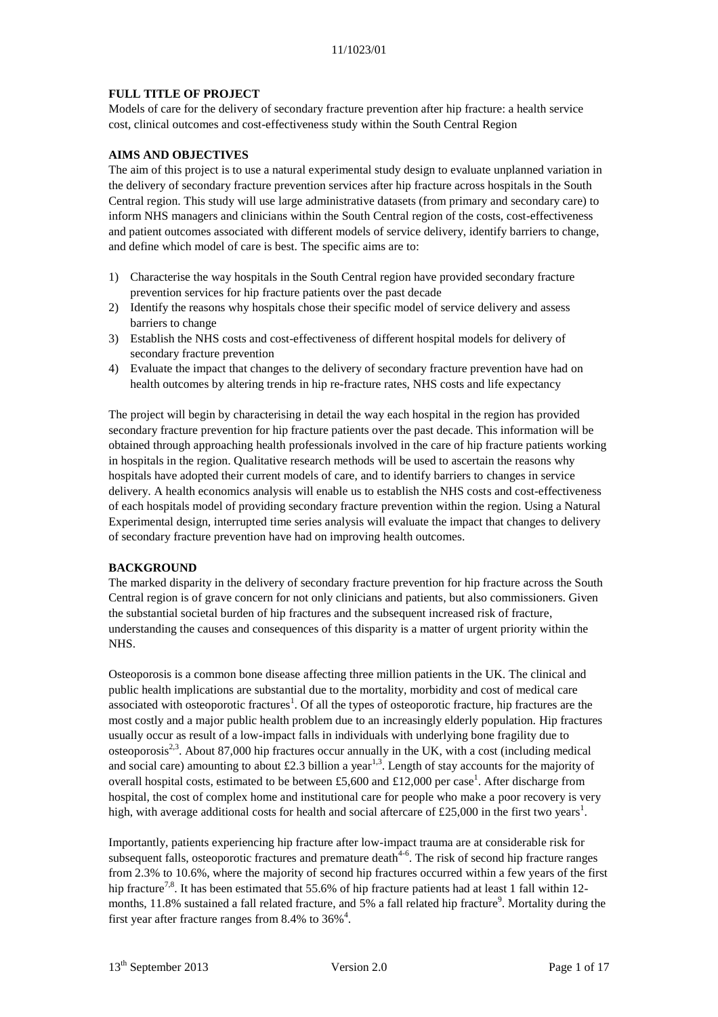## **FULL TITLE OF PROJECT**

Models of care for the delivery of secondary fracture prevention after hip fracture: a health service cost, clinical outcomes and cost-effectiveness study within the South Central Region

## **AIMS AND OBJECTIVES**

The aim of this project is to use a natural experimental study design to evaluate unplanned variation in the delivery of secondary fracture prevention services after hip fracture across hospitals in the South Central region. This study will use large administrative datasets (from primary and secondary care) to inform NHS managers and clinicians within the South Central region of the costs, cost-effectiveness and patient outcomes associated with different models of service delivery, identify barriers to change, and define which model of care is best. The specific aims are to:

- 1) Characterise the way hospitals in the South Central region have provided secondary fracture prevention services for hip fracture patients over the past decade
- 2) Identify the reasons why hospitals chose their specific model of service delivery and assess barriers to change
- 3) Establish the NHS costs and cost-effectiveness of different hospital models for delivery of secondary fracture prevention
- 4) Evaluate the impact that changes to the delivery of secondary fracture prevention have had on health outcomes by altering trends in hip re-fracture rates, NHS costs and life expectancy

The project will begin by characterising in detail the way each hospital in the region has provided secondary fracture prevention for hip fracture patients over the past decade. This information will be obtained through approaching health professionals involved in the care of hip fracture patients working in hospitals in the region. Qualitative research methods will be used to ascertain the reasons why hospitals have adopted their current models of care, and to identify barriers to changes in service delivery. A health economics analysis will enable us to establish the NHS costs and cost-effectiveness of each hospitals model of providing secondary fracture prevention within the region. Using a Natural Experimental design, interrupted time series analysis will evaluate the impact that changes to delivery of secondary fracture prevention have had on improving health outcomes.

### **BACKGROUND**

The marked disparity in the delivery of secondary fracture prevention for hip fracture across the South Central region is of grave concern for not only clinicians and patients, but also commissioners. Given the substantial societal burden of hip fractures and the subsequent increased risk of fracture, understanding the causes and consequences of this disparity is a matter of urgent priority within the NHS.

Osteoporosis is a common bone disease affecting three million patients in the UK. The clinical and public health implications are substantial due to the mortality, morbidity and cost of medical care associated with osteoporotic fractures<sup>1</sup>[.](#page-14-0) Of all the types of osteoporotic fracture, hip fractures are the most costly and a major public health problem due to an increasingly elderly population. Hip fractures usually occur as result of a low-impact falls in individuals with underlying bone fragility due to osteoporosis<sup>[2,](#page-14-1)[3](#page-14-2)</sup>. About 87,000 hip fractures occur annually in the UK, with a cost (including medical and social care) amounting to about £2.3 billion a year<sup>[1,](#page-14-0)[3](#page-14-2)</sup>. Length of stay accounts for the majority of ov[e](#page-14-0)rall hospital costs, estimated to be between £5,600 and £12,000 per case<sup>1</sup>. After discharge from hospital, the cost of complex home and institutional care for people who make a poor recovery is very high, with average additional costs for health and social aftercare of £25,000 in the first two years<sup>[1](#page-14-0)</sup>.

Importantly, patients experiencing hip fracture after low-impact trauma are at considerable risk for subsequent falls, osteoporotic fractures and premature death $4-6$ . The risk of second hip fracture ranges from 2.3% to 10.6%, where the majority of second hip fractures occurred within a few years of the first hip fracture<sup>[7,](#page-15-0)[8](#page-15-1)</sup>. It has been estimated that 55.6% of hip fracture patients had at least 1 fall within 12months, 11.8% sustain[e](#page-15-2)d a fall related fracture, and 5% a fall related hip fracture<sup>9</sup>. Mortality during the first year after fracture ranges from 8[.](#page-14-3)4% to  $36\%$ <sup>4</sup>.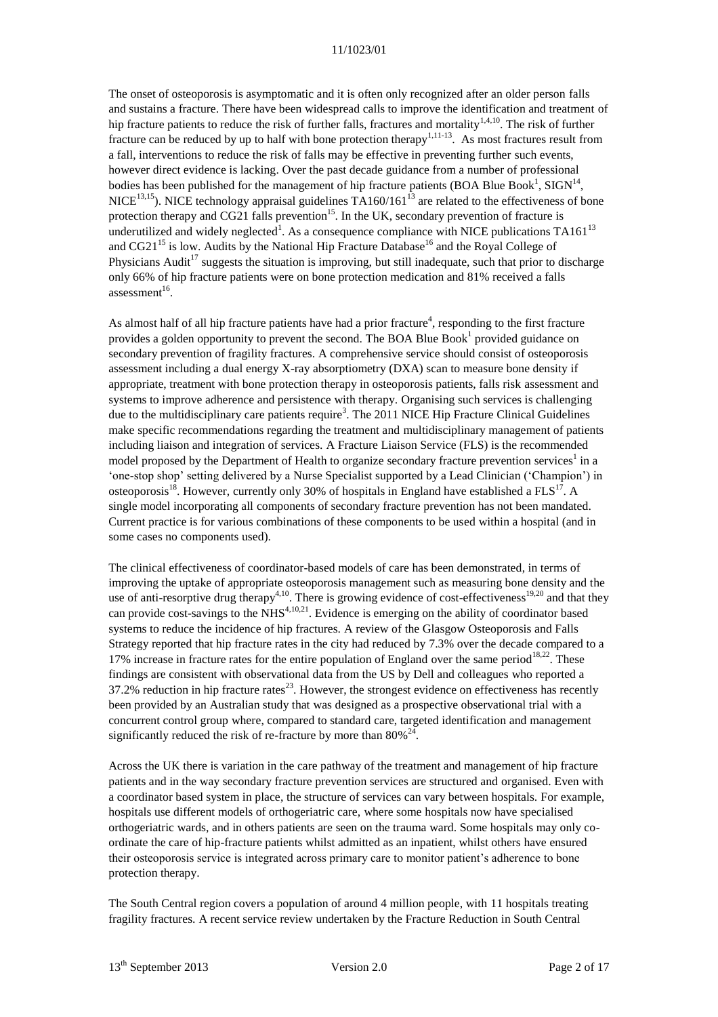The onset of osteoporosis is asymptomatic and it is often only recognized after an older person falls and sustains a fracture. There have been widespread calls to improve the identification and treatment of hip fracture patients to reduce the risk of further falls, fractures and mortality<sup>[1,](#page-14-0)[4,](#page-14-3)[10](#page-15-3)</sup>. The risk of further fracture can be reduced by up to half with bone protection therapy<sup>[1,](#page-14-0)[11-13](#page-15-4)</sup>. As most fractures result from a fall, interventions to reduce the risk of falls may be effective in preventing further such events, however direct evidence is lacking. Over the past decade guidance from a number of professional bodies has been published for the management of hip fracture patients (BOA Blue Boo[k](#page-14-0)<sup>1</sup>, SIGN<sup>[14](#page-15-5)</sup>,  $NICE<sup>13,15</sup>$  $NICE<sup>13,15</sup>$  $NICE<sup>13,15</sup>$  $NICE<sup>13,15</sup>$ ). NICE technology appraisal guidelines TA160/161<sup>[13](#page-15-6)</sup> are related to the effectiveness of bone protection therapy and CG21 falls prevention<sup>[15](#page-15-7)</sup>. In the UK, secondary prevention of fracture is underutilized and widely neglected<sup>1</sup>[.](#page-14-0) As a consequence compliance with NICE publications  $TA161^{13}$  $TA161^{13}$  $TA161^{13}$ and  $CG21^{15}$  $CG21^{15}$  $CG21^{15}$  is low. Audits by the National Hip Fracture Database<sup>[16](#page-15-8)</sup> and the Royal College of Physicians Audit<sup>[17](#page-15-9)</sup> suggests the situation is improving, but still inadequate, such that prior to discharge only 66% of hip fracture patients were on bone protection medication and 81% received a falls assessment<sup>[16](#page-15-8)</sup>.

As almost half of all hip fracture patients have had a prior fracture<sup>4</sup>[,](#page-14-3) responding to the first fracture provides a golden opportunity to prevent the second. The BOA Blue Boo[k](#page-14-0)<sup>1</sup> provided guidance on secondary prevention of fragility fractures. A comprehensive service should consist of osteoporosis assessment including a dual energy X-ray absorptiometry (DXA) scan to measure bone density if appropriate, treatment with bone protection therapy in osteoporosis patients, falls risk assessment and systems to improve adherence and persistence with therapy. Organising such services is challenging due to the multidisciplinary care patients require<sup>3</sup>[.](#page-14-2) The 2011 NICE Hip Fracture Clinical Guidelines make specific recommendations regarding the treatment and multidisciplinary management of patients including liaison and integration of services. A Fracture Liaison Service (FLS) is the recommended model propo[s](#page-14-0)ed by the Department of Health to organize secondary fracture prevention services<sup>1</sup> in a 'one-stop shop' setting delivered by a Nurse Specialist supported by a Lead Clinician ('Champion') in osteoporosis<sup>[18](#page-15-10)</sup>. However, currently only 30% of hospitals in England have established a FLS<sup>[17](#page-15-9)</sup>. A single model incorporating all components of secondary fracture prevention has not been mandated. Current practice is for various combinations of these components to be used within a hospital (and in some cases no components used).

The clinical effectiveness of coordinator-based models of care has been demonstrated, in terms of improving the uptake of appropriate osteoporosis management such as measuring bone density and the use of anti-resorptive drug therapy<sup>[4,](#page-14-3)[10](#page-15-3)</sup>. There is growing evidence of cost-effectiveness<sup>[19,](#page-15-11)[20](#page-15-12)</sup> and that they can provide cost-savings to the NHS<sup> $4,10,21$  $4,10,21$  $4,10,21$ </sup>. Evidence is emerging on the ability of coordinator based systems to reduce the incidence of hip fractures. A review of the Glasgow Osteoporosis and Falls Strategy reported that hip fracture rates in the city had reduced by 7.3% over the decade compared to a 17% increase in fracture rates for the entire population of England over the same period<sup>[18,](#page-15-10)[22](#page-15-14)</sup>. These findings are consistent with observational data from the US by Dell and colleagues who reported a  $37.2\%$  reduction in hip fracture rates<sup>[23](#page-15-15)</sup>. However, the strongest evidence on effectiveness has recently been provided by an Australian study that was designed as a prospective observational trial with a concurrent control group where, compared to standard care, targeted identification and management significantly reduced the risk of re-fracture by more than  $80\%^{24}$  $80\%^{24}$  $80\%^{24}$ .

Across the UK there is variation in the care pathway of the treatment and management of hip fracture patients and in the way secondary fracture prevention services are structured and organised. Even with a coordinator based system in place, the structure of services can vary between hospitals. For example, hospitals use different models of orthogeriatric care, where some hospitals now have specialised orthogeriatric wards, and in others patients are seen on the trauma ward. Some hospitals may only coordinate the care of hip-fracture patients whilst admitted as an inpatient, whilst others have ensured their osteoporosis service is integrated across primary care to monitor patient's adherence to bone protection therapy.

The South Central region covers a population of around 4 million people, with 11 hospitals treating fragility fractures. A recent service review undertaken by the Fracture Reduction in South Central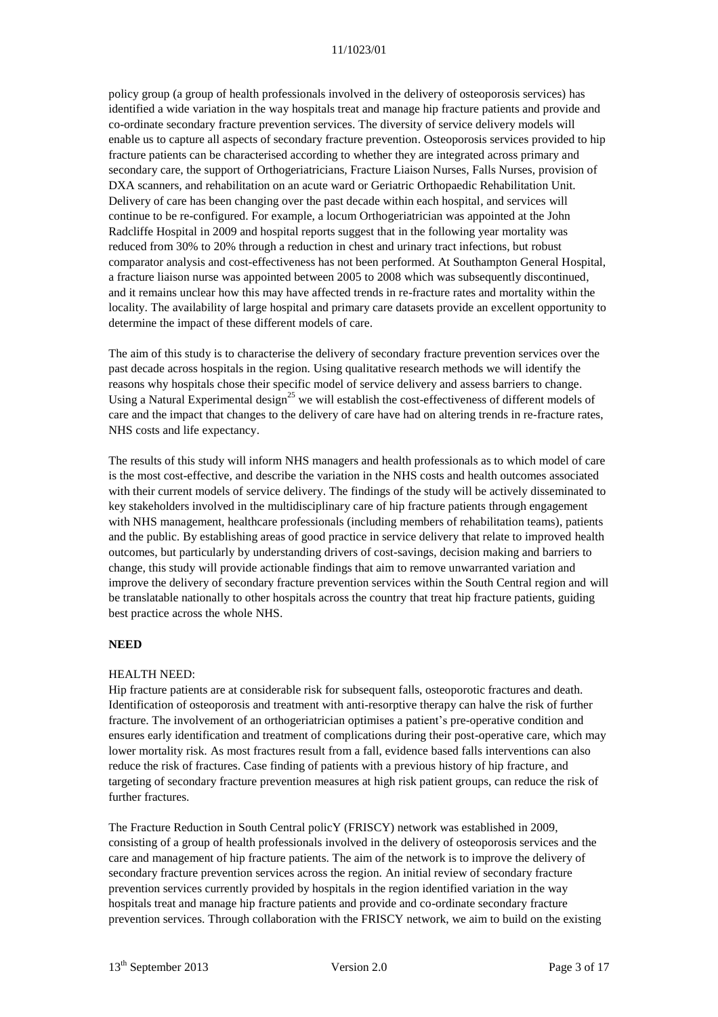policy group (a group of health professionals involved in the delivery of osteoporosis services) has identified a wide variation in the way hospitals treat and manage hip fracture patients and provide and co-ordinate secondary fracture prevention services. The diversity of service delivery models will enable us to capture all aspects of secondary fracture prevention. Osteoporosis services provided to hip fracture patients can be characterised according to whether they are integrated across primary and secondary care, the support of Orthogeriatricians, Fracture Liaison Nurses, Falls Nurses, provision of DXA scanners, and rehabilitation on an acute ward or Geriatric Orthopaedic Rehabilitation Unit. Delivery of care has been changing over the past decade within each hospital, and services will continue to be re-configured. For example, a locum Orthogeriatrician was appointed at the John Radcliffe Hospital in 2009 and hospital reports suggest that in the following year mortality was reduced from 30% to 20% through a reduction in chest and urinary tract infections, but robust comparator analysis and cost-effectiveness has not been performed. At Southampton General Hospital, a fracture liaison nurse was appointed between 2005 to 2008 which was subsequently discontinued, and it remains unclear how this may have affected trends in re-fracture rates and mortality within the locality. The availability of large hospital and primary care datasets provide an excellent opportunity to determine the impact of these different models of care.

The aim of this study is to characterise the delivery of secondary fracture prevention services over the past decade across hospitals in the region. Using qualitative research methods we will identify the reasons why hospitals chose their specific model of service delivery and assess barriers to change. Using a Natural Experimental design<sup>[25](#page-15-17)</sup> we will establish the cost-effectiveness of different models of care and the impact that changes to the delivery of care have had on altering trends in re-fracture rates, NHS costs and life expectancy.

The results of this study will inform NHS managers and health professionals as to which model of care is the most cost-effective, and describe the variation in the NHS costs and health outcomes associated with their current models of service delivery. The findings of the study will be actively disseminated to key stakeholders involved in the multidisciplinary care of hip fracture patients through engagement with NHS management, healthcare professionals (including members of rehabilitation teams), patients and the public. By establishing areas of good practice in service delivery that relate to improved health outcomes, but particularly by understanding drivers of cost-savings, decision making and barriers to change, this study will provide actionable findings that aim to remove unwarranted variation and improve the delivery of secondary fracture prevention services within the South Central region and will be translatable nationally to other hospitals across the country that treat hip fracture patients, guiding best practice across the whole NHS.

### **NEED**

#### HEALTH NEED:

Hip fracture patients are at considerable risk for subsequent falls, osteoporotic fractures and death. Identification of osteoporosis and treatment with anti-resorptive therapy can halve the risk of further fracture. The involvement of an orthogeriatrician optimises a patient's pre-operative condition and ensures early identification and treatment of complications during their post-operative care, which may lower mortality risk. As most fractures result from a fall, evidence based falls interventions can also reduce the risk of fractures. Case finding of patients with a previous history of hip fracture, and targeting of secondary fracture prevention measures at high risk patient groups, can reduce the risk of further fractures.

The Fracture Reduction in South Central policY (FRISCY) network was established in 2009, consisting of a group of health professionals involved in the delivery of osteoporosis services and the care and management of hip fracture patients. The aim of the network is to improve the delivery of secondary fracture prevention services across the region. An initial review of secondary fracture prevention services currently provided by hospitals in the region identified variation in the way hospitals treat and manage hip fracture patients and provide and co-ordinate secondary fracture prevention services. Through collaboration with the FRISCY network, we aim to build on the existing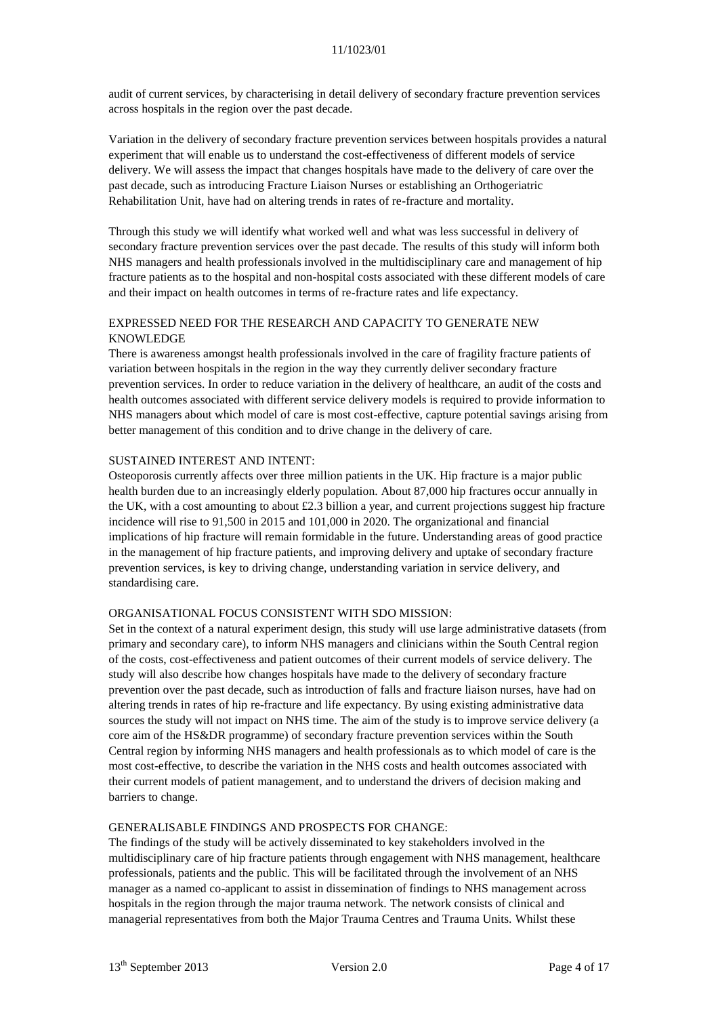audit of current services, by characterising in detail delivery of secondary fracture prevention services across hospitals in the region over the past decade.

Variation in the delivery of secondary fracture prevention services between hospitals provides a natural experiment that will enable us to understand the cost-effectiveness of different models of service delivery. We will assess the impact that changes hospitals have made to the delivery of care over the past decade, such as introducing Fracture Liaison Nurses or establishing an Orthogeriatric Rehabilitation Unit, have had on altering trends in rates of re-fracture and mortality.

Through this study we will identify what worked well and what was less successful in delivery of secondary fracture prevention services over the past decade. The results of this study will inform both NHS managers and health professionals involved in the multidisciplinary care and management of hip fracture patients as to the hospital and non-hospital costs associated with these different models of care and their impact on health outcomes in terms of re-fracture rates and life expectancy.

## EXPRESSED NEED FOR THE RESEARCH AND CAPACITY TO GENERATE NEW KNOWLEDGE

There is awareness amongst health professionals involved in the care of fragility fracture patients of variation between hospitals in the region in the way they currently deliver secondary fracture prevention services. In order to reduce variation in the delivery of healthcare, an audit of the costs and health outcomes associated with different service delivery models is required to provide information to NHS managers about which model of care is most cost-effective, capture potential savings arising from better management of this condition and to drive change in the delivery of care.

### SUSTAINED INTEREST AND INTENT:

Osteoporosis currently affects over three million patients in the UK. Hip fracture is a major public health burden due to an increasingly elderly population. About 87,000 hip fractures occur annually in the UK, with a cost amounting to about £2.3 billion a year, and current projections suggest hip fracture incidence will rise to 91,500 in 2015 and 101,000 in 2020. The organizational and financial implications of hip fracture will remain formidable in the future. Understanding areas of good practice in the management of hip fracture patients, and improving delivery and uptake of secondary fracture prevention services, is key to driving change, understanding variation in service delivery, and standardising care.

### ORGANISATIONAL FOCUS CONSISTENT WITH SDO MISSION:

Set in the context of a natural experiment design, this study will use large administrative datasets (from primary and secondary care), to inform NHS managers and clinicians within the South Central region of the costs, cost-effectiveness and patient outcomes of their current models of service delivery. The study will also describe how changes hospitals have made to the delivery of secondary fracture prevention over the past decade, such as introduction of falls and fracture liaison nurses, have had on altering trends in rates of hip re-fracture and life expectancy. By using existing administrative data sources the study will not impact on NHS time. The aim of the study is to improve service delivery (a core aim of the HS&DR programme) of secondary fracture prevention services within the South Central region by informing NHS managers and health professionals as to which model of care is the most cost-effective, to describe the variation in the NHS costs and health outcomes associated with their current models of patient management, and to understand the drivers of decision making and barriers to change.

### GENERALISABLE FINDINGS AND PROSPECTS FOR CHANGE:

The findings of the study will be actively disseminated to key stakeholders involved in the multidisciplinary care of hip fracture patients through engagement with NHS management, healthcare professionals, patients and the public. This will be facilitated through the involvement of an NHS manager as a named co-applicant to assist in dissemination of findings to NHS management across hospitals in the region through the major trauma network. The network consists of clinical and managerial representatives from both the Major Trauma Centres and Trauma Units. Whilst these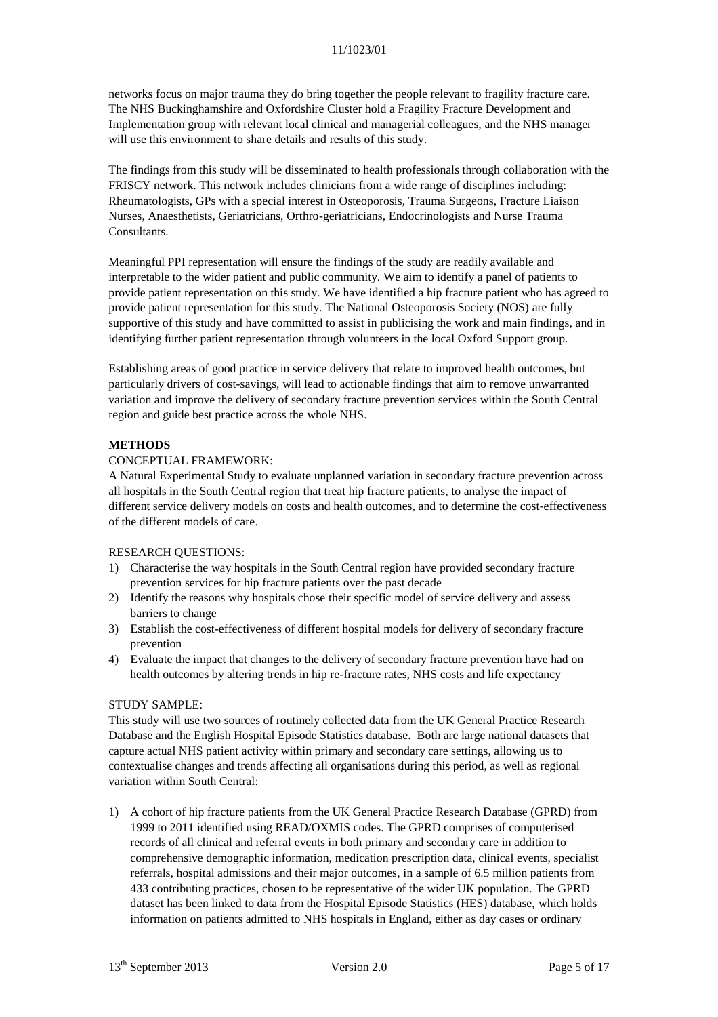networks focus on major trauma they do bring together the people relevant to fragility fracture care. The NHS Buckinghamshire and Oxfordshire Cluster hold a Fragility Fracture Development and Implementation group with relevant local clinical and managerial colleagues, and the NHS manager will use this environment to share details and results of this study.

The findings from this study will be disseminated to health professionals through collaboration with the FRISCY network. This network includes clinicians from a wide range of disciplines including: Rheumatologists, GPs with a special interest in Osteoporosis, Trauma Surgeons, Fracture Liaison Nurses, Anaesthetists, Geriatricians, Orthro-geriatricians, Endocrinologists and Nurse Trauma Consultants.

Meaningful PPI representation will ensure the findings of the study are readily available and interpretable to the wider patient and public community. We aim to identify a panel of patients to provide patient representation on this study. We have identified a hip fracture patient who has agreed to provide patient representation for this study. The National Osteoporosis Society (NOS) are fully supportive of this study and have committed to assist in publicising the work and main findings, and in identifying further patient representation through volunteers in the local Oxford Support group.

Establishing areas of good practice in service delivery that relate to improved health outcomes, but particularly drivers of cost-savings, will lead to actionable findings that aim to remove unwarranted variation and improve the delivery of secondary fracture prevention services within the South Central region and guide best practice across the whole NHS.

## **METHODS**

### CONCEPTUAL FRAMEWORK:

A Natural Experimental Study to evaluate unplanned variation in secondary fracture prevention across all hospitals in the South Central region that treat hip fracture patients, to analyse the impact of different service delivery models on costs and health outcomes, and to determine the cost-effectiveness of the different models of care.

### RESEARCH QUESTIONS:

- 1) Characterise the way hospitals in the South Central region have provided secondary fracture prevention services for hip fracture patients over the past decade
- 2) Identify the reasons why hospitals chose their specific model of service delivery and assess barriers to change
- 3) Establish the cost-effectiveness of different hospital models for delivery of secondary fracture prevention
- 4) Evaluate the impact that changes to the delivery of secondary fracture prevention have had on health outcomes by altering trends in hip re-fracture rates, NHS costs and life expectancy

### STUDY SAMPLE:

This study will use two sources of routinely collected data from the UK General Practice Research Database and the English Hospital Episode Statistics database. Both are large national datasets that capture actual NHS patient activity within primary and secondary care settings, allowing us to contextualise changes and trends affecting all organisations during this period, as well as regional variation within South Central:

1) A cohort of hip fracture patients from the UK General Practice Research Database (GPRD) from 1999 to 2011 identified using READ/OXMIS codes. The GPRD comprises of computerised records of all clinical and referral events in both primary and secondary care in addition to comprehensive demographic information, medication prescription data, clinical events, specialist referrals, hospital admissions and their major outcomes, in a sample of 6.5 million patients from 433 contributing practices, chosen to be representative of the wider UK population. The GPRD dataset has been linked to data from the Hospital Episode Statistics (HES) database, which holds information on patients admitted to NHS hospitals in England, either as day cases or ordinary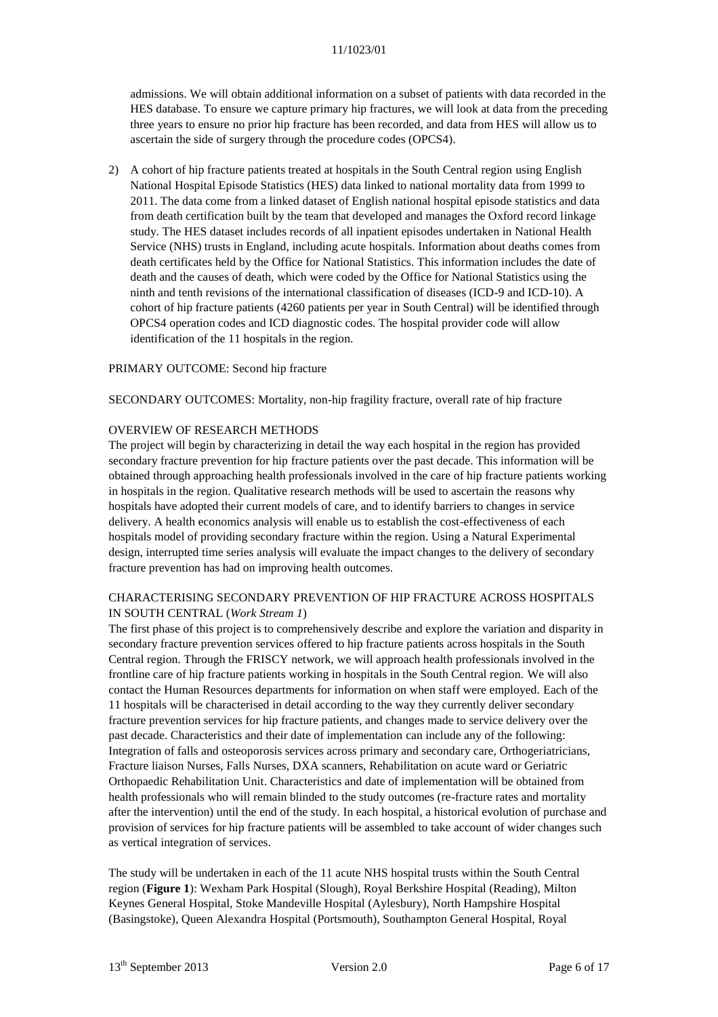admissions. We will obtain additional information on a subset of patients with data recorded in the HES database. To ensure we capture primary hip fractures, we will look at data from the preceding three years to ensure no prior hip fracture has been recorded, and data from HES will allow us to ascertain the side of surgery through the procedure codes (OPCS4).

2) A cohort of hip fracture patients treated at hospitals in the South Central region using English National Hospital Episode Statistics (HES) data linked to national mortality data from 1999 to 2011. The data come from a linked dataset of English national hospital episode statistics and data from death certification built by the team that developed and manages the Oxford record linkage study. The HES dataset includes records of all inpatient episodes undertaken in National Health Service (NHS) trusts in England, including acute hospitals. Information about deaths comes from death certificates held by the Office for National Statistics. This information includes the date of death and the causes of death, which were coded by the Office for National Statistics using the ninth and tenth revisions of the international classification of diseases (ICD-9 and ICD-10). A cohort of hip fracture patients (4260 patients per year in South Central) will be identified through OPCS4 operation codes and ICD diagnostic codes. The hospital provider code will allow identification of the 11 hospitals in the region.

#### PRIMARY OUTCOME: Second hip fracture

SECONDARY OUTCOMES: Mortality, non-hip fragility fracture, overall rate of hip fracture

#### OVERVIEW OF RESEARCH METHODS

The project will begin by characterizing in detail the way each hospital in the region has provided secondary fracture prevention for hip fracture patients over the past decade. This information will be obtained through approaching health professionals involved in the care of hip fracture patients working in hospitals in the region. Qualitative research methods will be used to ascertain the reasons why hospitals have adopted their current models of care, and to identify barriers to changes in service delivery. A health economics analysis will enable us to establish the cost-effectiveness of each hospitals model of providing secondary fracture within the region. Using a Natural Experimental design, interrupted time series analysis will evaluate the impact changes to the delivery of secondary fracture prevention has had on improving health outcomes.

### CHARACTERISING SECONDARY PREVENTION OF HIP FRACTURE ACROSS HOSPITALS IN SOUTH CENTRAL (*Work Stream 1*)

The first phase of this project is to comprehensively describe and explore the variation and disparity in secondary fracture prevention services offered to hip fracture patients across hospitals in the South Central region. Through the FRISCY network, we will approach health professionals involved in the frontline care of hip fracture patients working in hospitals in the South Central region. We will also contact the Human Resources departments for information on when staff were employed. Each of the 11 hospitals will be characterised in detail according to the way they currently deliver secondary fracture prevention services for hip fracture patients, and changes made to service delivery over the past decade. Characteristics and their date of implementation can include any of the following: Integration of falls and osteoporosis services across primary and secondary care, Orthogeriatricians, Fracture liaison Nurses, Falls Nurses, DXA scanners, Rehabilitation on acute ward or Geriatric Orthopaedic Rehabilitation Unit. Characteristics and date of implementation will be obtained from health professionals who will remain blinded to the study outcomes (re-fracture rates and mortality after the intervention) until the end of the study. In each hospital, a historical evolution of purchase and provision of services for hip fracture patients will be assembled to take account of wider changes such as vertical integration of services.

The study will be undertaken in each of the 11 acute NHS hospital trusts within the South Central region (**Figure 1**): Wexham Park Hospital (Slough), Royal Berkshire Hospital (Reading), Milton Keynes General Hospital, Stoke Mandeville Hospital (Aylesbury), North Hampshire Hospital (Basingstoke), Queen Alexandra Hospital (Portsmouth), Southampton General Hospital, Royal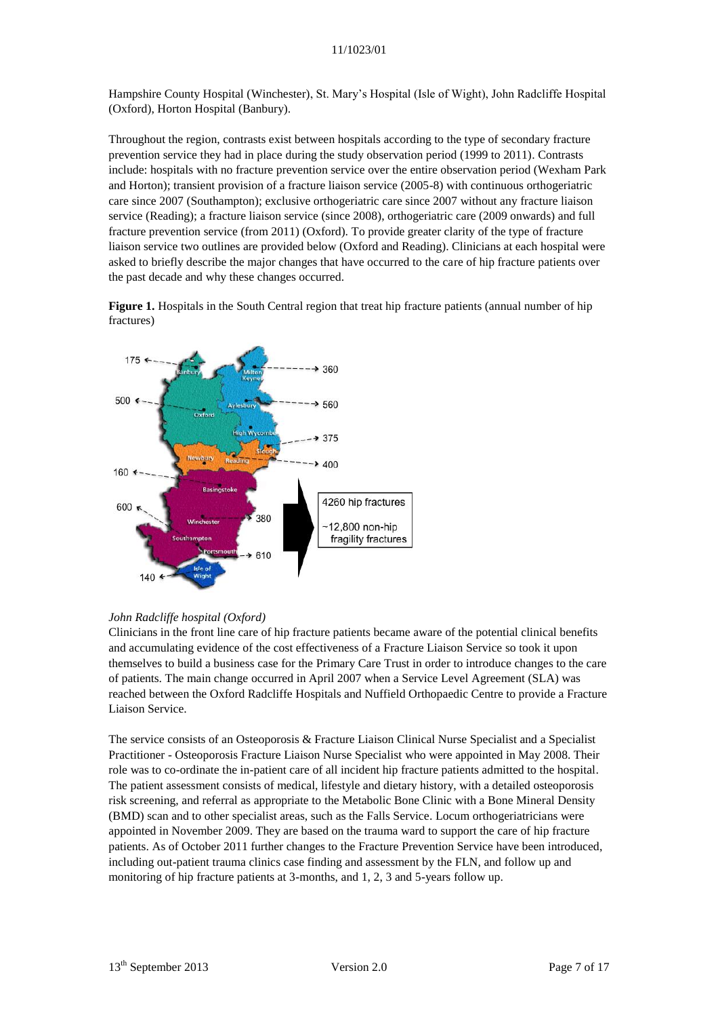Hampshire County Hospital (Winchester), St. Mary's Hospital (Isle of Wight), John Radcliffe Hospital (Oxford), Horton Hospital (Banbury).

Throughout the region, contrasts exist between hospitals according to the type of secondary fracture prevention service they had in place during the study observation period (1999 to 2011). Contrasts include: hospitals with no fracture prevention service over the entire observation period (Wexham Park and Horton); transient provision of a fracture liaison service (2005-8) with continuous orthogeriatric care since 2007 (Southampton); exclusive orthogeriatric care since 2007 without any fracture liaison service (Reading); a fracture liaison service (since 2008), orthogeriatric care (2009 onwards) and full fracture prevention service (from 2011) (Oxford). To provide greater clarity of the type of fracture liaison service two outlines are provided below (Oxford and Reading). Clinicians at each hospital were asked to briefly describe the major changes that have occurred to the care of hip fracture patients over the past decade and why these changes occurred.

**Figure 1.** Hospitals in the South Central region that treat hip fracture patients (annual number of hip fractures)



### *John Radcliffe hospital (Oxford)*

Clinicians in the front line care of hip fracture patients became aware of the potential clinical benefits and accumulating evidence of the cost effectiveness of a Fracture Liaison Service so took it upon themselves to build a business case for the Primary Care Trust in order to introduce changes to the care of patients. The main change occurred in April 2007 when a Service Level Agreement (SLA) was reached between the Oxford Radcliffe Hospitals and Nuffield Orthopaedic Centre to provide a Fracture Liaison Service.

The service consists of an Osteoporosis & Fracture Liaison Clinical Nurse Specialist and a Specialist Practitioner - Osteoporosis Fracture Liaison Nurse Specialist who were appointed in May 2008. Their role was to co-ordinate the in-patient care of all incident hip fracture patients admitted to the hospital. The patient assessment consists of medical, lifestyle and dietary history, with a detailed osteoporosis risk screening, and referral as appropriate to the Metabolic Bone Clinic with a Bone Mineral Density (BMD) scan and to other specialist areas, such as the Falls Service. Locum orthogeriatricians were appointed in November 2009. They are based on the trauma ward to support the care of hip fracture patients. As of October 2011 further changes to the Fracture Prevention Service have been introduced, including out-patient trauma clinics case finding and assessment by the FLN, and follow up and monitoring of hip fracture patients at 3-months, and 1, 2, 3 and 5-years follow up.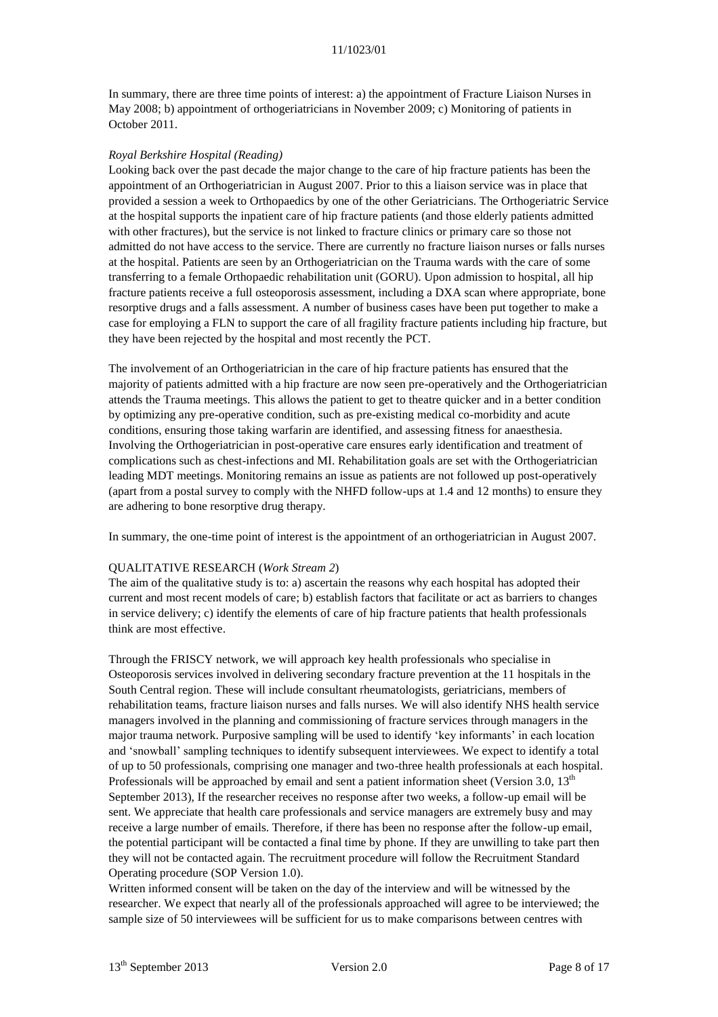In summary, there are three time points of interest: a) the appointment of Fracture Liaison Nurses in May 2008; b) appointment of orthogeriatricians in November 2009; c) Monitoring of patients in October 2011.

#### *Royal Berkshire Hospital (Reading)*

Looking back over the past decade the major change to the care of hip fracture patients has been the appointment of an Orthogeriatrician in August 2007. Prior to this a liaison service was in place that provided a session a week to Orthopaedics by one of the other Geriatricians. The Orthogeriatric Service at the hospital supports the inpatient care of hip fracture patients (and those elderly patients admitted with other fractures), but the service is not linked to fracture clinics or primary care so those not admitted do not have access to the service. There are currently no fracture liaison nurses or falls nurses at the hospital. Patients are seen by an Orthogeriatrician on the Trauma wards with the care of some transferring to a female Orthopaedic rehabilitation unit (GORU). Upon admission to hospital, all hip fracture patients receive a full osteoporosis assessment, including a DXA scan where appropriate, bone resorptive drugs and a falls assessment. A number of business cases have been put together to make a case for employing a FLN to support the care of all fragility fracture patients including hip fracture, but they have been rejected by the hospital and most recently the PCT.

The involvement of an Orthogeriatrician in the care of hip fracture patients has ensured that the majority of patients admitted with a hip fracture are now seen pre-operatively and the Orthogeriatrician attends the Trauma meetings. This allows the patient to get to theatre quicker and in a better condition by optimizing any pre-operative condition, such as pre-existing medical co-morbidity and acute conditions, ensuring those taking warfarin are identified, and assessing fitness for anaesthesia. Involving the Orthogeriatrician in post-operative care ensures early identification and treatment of complications such as chest-infections and MI. Rehabilitation goals are set with the Orthogeriatrician leading MDT meetings. Monitoring remains an issue as patients are not followed up post-operatively (apart from a postal survey to comply with the NHFD follow-ups at 1.4 and 12 months) to ensure they are adhering to bone resorptive drug therapy.

In summary, the one-time point of interest is the appointment of an orthogeriatrician in August 2007.

### QUALITATIVE RESEARCH (*Work Stream 2*)

The aim of the qualitative study is to: a) ascertain the reasons why each hospital has adopted their current and most recent models of care; b) establish factors that facilitate or act as barriers to changes in service delivery; c) identify the elements of care of hip fracture patients that health professionals think are most effective.

Through the FRISCY network, we will approach key health professionals who specialise in Osteoporosis services involved in delivering secondary fracture prevention at the 11 hospitals in the South Central region. These will include consultant rheumatologists, geriatricians, members of rehabilitation teams, fracture liaison nurses and falls nurses. We will also identify NHS health service managers involved in the planning and commissioning of fracture services through managers in the major trauma network. Purposive sampling will be used to identify 'key informants' in each location and 'snowball' sampling techniques to identify subsequent interviewees. We expect to identify a total of up to 50 professionals, comprising one manager and two-three health professionals at each hospital. Professionals will be approached by email and sent a patient information sheet (Version 3.0,  $13<sup>th</sup>$ September 2013), If the researcher receives no response after two weeks, a follow-up email will be sent. We appreciate that health care professionals and service managers are extremely busy and may receive a large number of emails. Therefore, if there has been no response after the follow-up email, the potential participant will be contacted a final time by phone. If they are unwilling to take part then they will not be contacted again. The recruitment procedure will follow the Recruitment Standard Operating procedure (SOP Version 1.0).

Written informed consent will be taken on the day of the interview and will be witnessed by the researcher. We expect that nearly all of the professionals approached will agree to be interviewed; the sample size of 50 interviewees will be sufficient for us to make comparisons between centres with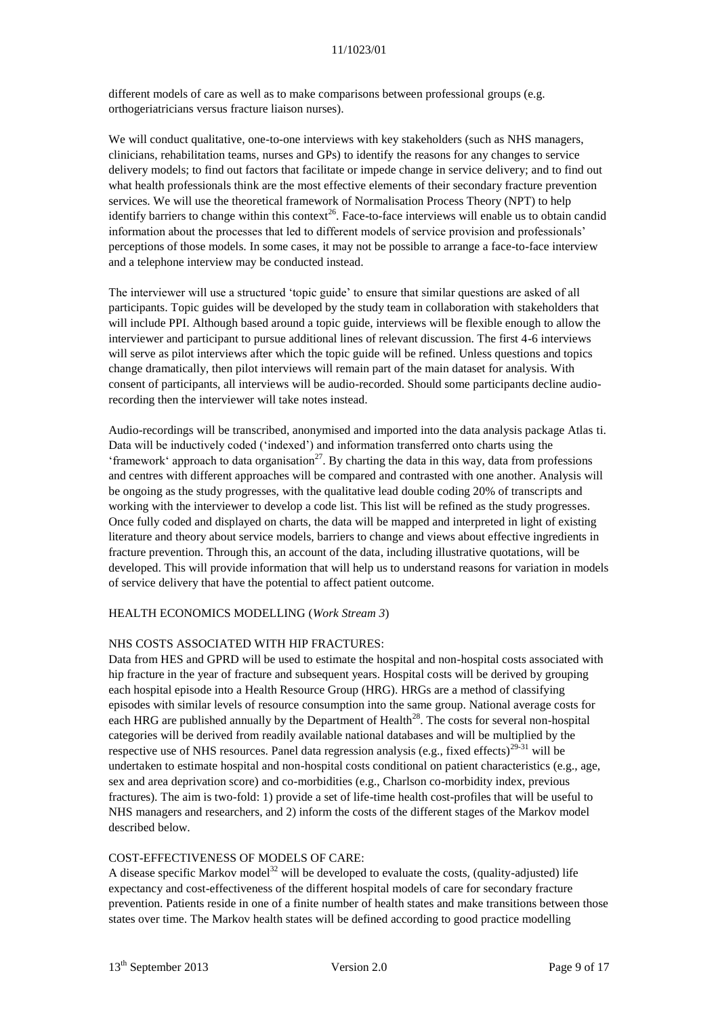different models of care as well as to make comparisons between professional groups (e.g. orthogeriatricians versus fracture liaison nurses).

We will conduct qualitative, one-to-one interviews with key stakeholders (such as NHS managers, clinicians, rehabilitation teams, nurses and GPs) to identify the reasons for any changes to service delivery models; to find out factors that facilitate or impede change in service delivery; and to find out what health professionals think are the most effective elements of their secondary fracture prevention services. We will use the theoretical framework of Normalisation Process Theory (NPT) to help identify barriers to change within this context<sup>[26](#page-15-18)</sup>. Face-to-face interviews will enable us to obtain candid information about the processes that led to different models of service provision and professionals' perceptions of those models. In some cases, it may not be possible to arrange a face-to-face interview and a telephone interview may be conducted instead.

The interviewer will use a structured 'topic guide' to ensure that similar questions are asked of all participants. Topic guides will be developed by the study team in collaboration with stakeholders that will include PPI. Although based around a topic guide, interviews will be flexible enough to allow the interviewer and participant to pursue additional lines of relevant discussion. The first 4-6 interviews will serve as pilot interviews after which the topic guide will be refined. Unless questions and topics change dramatically, then pilot interviews will remain part of the main dataset for analysis. With consent of participants, all interviews will be audio-recorded. Should some participants decline audiorecording then the interviewer will take notes instead.

Audio-recordings will be transcribed, anonymised and imported into the data analysis package Atlas ti. Data will be inductively coded ('indexed') and information transferred onto charts using the 'framework' approach to data organisation<sup>[27](#page-15-19)</sup>. By charting the data in this way, data from professions and centres with different approaches will be compared and contrasted with one another. Analysis will be ongoing as the study progresses, with the qualitative lead double coding 20% of transcripts and working with the interviewer to develop a code list. This list will be refined as the study progresses. Once fully coded and displayed on charts, the data will be mapped and interpreted in light of existing literature and theory about service models, barriers to change and views about effective ingredients in fracture prevention. Through this, an account of the data, including illustrative quotations, will be developed. This will provide information that will help us to understand reasons for variation in models of service delivery that have the potential to affect patient outcome.

### HEALTH ECONOMICS MODELLING (*Work Stream 3*)

### NHS COSTS ASSOCIATED WITH HIP FRACTURES:

Data from HES and GPRD will be used to estimate the hospital and non-hospital costs associated with hip fracture in the year of fracture and subsequent years. Hospital costs will be derived by grouping each hospital episode into a Health Resource Group (HRG). HRGs are a method of classifying episodes with similar levels of resource consumption into the same group. National average costs for each HRG are published annually by the Department of Health<sup>[28](#page-15-20)</sup>. The costs for several non-hospital categories will be derived from readily available national databases and will be multiplied by the respective use of NHS resources. Panel data regression analysis (e.g., fixed effects) $^{29-31}$  $^{29-31}$  $^{29-31}$  will be undertaken to estimate hospital and non-hospital costs conditional on patient characteristics (e.g., age, sex and area deprivation score) and co-morbidities (e.g., Charlson co-morbidity index, previous fractures). The aim is two-fold: 1) provide a set of life-time health cost-profiles that will be useful to NHS managers and researchers, and 2) inform the costs of the different stages of the Markov model described below.

### COST-EFFECTIVENESS OF MODELS OF CARE:

A disease specific Markov model<sup>[32](#page-16-0)</sup> will be developed to evaluate the costs, (quality-adjusted) life expectancy and cost-effectiveness of the different hospital models of care for secondary fracture prevention. Patients reside in one of a finite number of health states and make transitions between those states over time. The Markov health states will be defined according to good practice modelling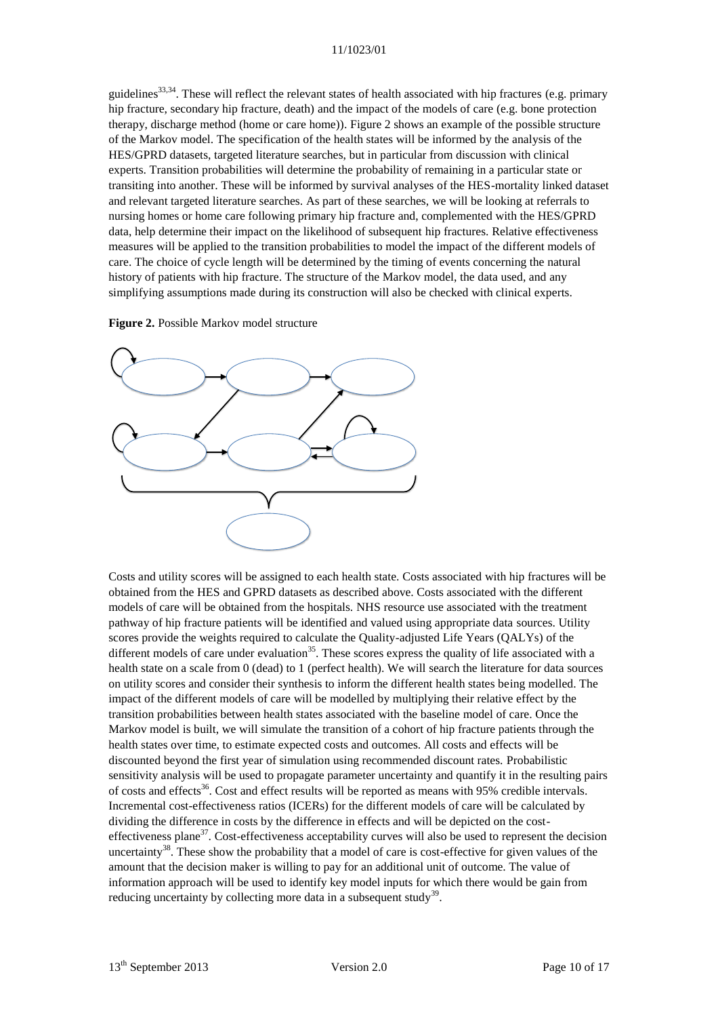guidelines<sup>[33,](#page-16-1)[34](#page-16-2)</sup>. These will reflect the relevant states of health associated with hip fractures (e.g. primary hip fracture, secondary hip fracture, death) and the impact of the models of care (e.g. bone protection therapy, discharge method (home or care home)). Figure 2 shows an example of the possible structure of the Markov model. The specification of the health states will be informed by the analysis of the HES/GPRD datasets, targeted literature searches, but in particular from discussion with clinical experts. Transition probabilities will determine the probability of remaining in a particular state or transiting into another. These will be informed by survival analyses of the HES-mortality linked dataset and relevant targeted literature searches. As part of these searches, we will be looking at referrals to nursing homes or home care following primary hip fracture and, complemented with the HES/GPRD data, help determine their impact on the likelihood of subsequent hip fractures. Relative effectiveness measures will be applied to the transition probabilities to model the impact of the different models of care. The choice of cycle length will be determined by the timing of events concerning the natural history of patients with hip fracture. The structure of the Markov model, the data used, and any simplifying assumptions made during its construction will also be checked with clinical experts.

**Figure 2.** Possible Markov model structure



Costs and utility scores will be assigned to each health state. Costs associated with hip fractures will be obtained from the HES and GPRD datasets as described above. Costs associated with the different models of care will be obtained from the hospitals. NHS resource use associated with the treatment pathway of hip fracture patients will be identified and valued using appropriate data sources. Utility scores provide the weights required to calculate the Quality-adjusted Life Years (QALYs) of the different models of care under evaluation<sup>[35](#page-16-3)</sup>. These scores express the quality of life associated with a health state on a scale from 0 (dead) to 1 (perfect health). We will search the literature for data sources on utility scores and consider their synthesis to inform the different health states being modelled. The impact of the different models of care will be modelled by multiplying their relative effect by the transition probabilities between health states associated with the baseline model of care. Once the Markov model is built, we will simulate the transition of a cohort of hip fracture patients through the health states over time, to estimate expected costs and outcomes. All costs and effects will be discounted beyond the first year of simulation using recommended discount rates. Probabilistic sensitivity analysis will be used to propagate parameter uncertainty and quantify it in the resulting pairs of costs and effects<sup>[36](#page-16-4)</sup>. Cost and effect results will be reported as means with 95% credible intervals. Incremental cost-effectiveness ratios (ICERs) for the different models of care will be calculated by dividing the difference in costs by the difference in effects and will be depicted on the cost-effectiveness plane<sup>[37](#page-16-5)</sup>. Cost-effectiveness acceptability curves will also be used to represent the decision uncertainty<sup>[38](#page-16-6)</sup>. These show the probability that a model of care is cost-effective for given values of the amount that the decision maker is willing to pay for an additional unit of outcome. The value of information approach will be used to identify key model inputs for which there would be gain from reducing uncertainty by collecting more data in a subsequent study<sup>[39](#page-16-7)</sup>.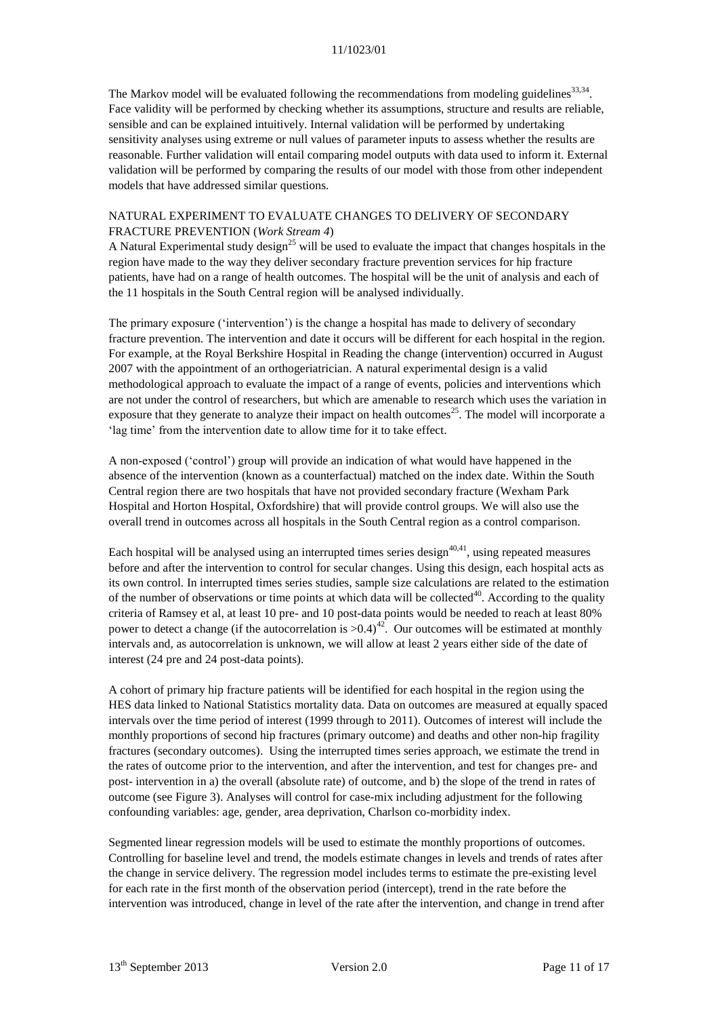The Markov model will be evaluated following the recommendations from modeling guidelines $^{33,34}$  $^{33,34}$  $^{33,34}$  $^{33,34}$ . Face validity will be performed by checking whether its assumptions, structure and results are reliable, sensible and can be explained intuitively. Internal validation will be performed by undertaking sensitivity analyses using extreme or null values of parameter inputs to assess whether the results are reasonable. Further validation will entail comparing model outputs with data used to inform it. External validation will be performed by comparing the results of our model with those from other independent models that have addressed similar questions.

### NATURAL EXPERIMENT TO EVALUATE CHANGES TO DELIVERY OF SECONDARY FRACTURE PREVENTION (*Work Stream 4*)

A Natural Experimental study design<sup>[25](#page-15-17)</sup> will be used to evaluate the impact that changes hospitals in the region have made to the way they deliver secondary fracture prevention services for hip fracture patients, have had on a range of health outcomes. The hospital will be the unit of analysis and each of the 11 hospitals in the South Central region will be analysed individually.

The primary exposure ('intervention') is the change a hospital has made to delivery of secondary fracture prevention. The intervention and date it occurs will be different for each hospital in the region. For example, at the Royal Berkshire Hospital in Reading the change (intervention) occurred in August 2007 with the appointment of an orthogeriatrician. A natural experimental design is a valid methodological approach to evaluate the impact of a range of events, policies and interventions which are not under the control of researchers, but which are amenable to research which uses the variation in exposure that they generate to analyze their impact on health outcomes<sup>[25](#page-15-17)</sup>. The model will incorporate a 'lag time' from the intervention date to allow time for it to take effect.

A non-exposed ('control') group will provide an indication of what would have happened in the absence of the intervention (known as a counterfactual) matched on the index date. Within the South Central region there are two hospitals that have not provided secondary fracture (Wexham Park Hospital and Horton Hospital, Oxfordshire) that will provide control groups. We will also use the overall trend in outcomes across all hospitals in the South Central region as a control comparison.

Each hospital will be analysed using an interrupted times series design<sup>[40,](#page-16-8)[41](#page-16-9)</sup>, using repeated measures before and after the intervention to control for secular changes. Using this design, each hospital acts as its own control. In interrupted times series studies, sample size calculations are related to the estimation of the number of observations or time points at which data will be collected<sup>[40](#page-16-8)</sup>. According to the quality criteria of Ramsey et al, at least 10 pre- and 10 post-data points would be needed to reach at least 80% power to detect a change (if the autocorrelation is  $>0.4$ )<sup>[42](#page-16-10)</sup>. Our outcomes will be estimated at monthly intervals and, as autocorrelation is unknown, we will allow at least 2 years either side of the date of interest (24 pre and 24 post-data points).

A cohort of primary hip fracture patients will be identified for each hospital in the region using the HES data linked to National Statistics mortality data. Data on outcomes are measured at equally spaced intervals over the time period of interest (1999 through to 2011). Outcomes of interest will include the monthly proportions of second hip fractures (primary outcome) and deaths and other non-hip fragility fractures (secondary outcomes). Using the interrupted times series approach, we estimate the trend in the rates of outcome prior to the intervention, and after the intervention, and test for changes pre- and post- intervention in a) the overall (absolute rate) of outcome, and b) the slope of the trend in rates of outcome (see Figure 3). Analyses will control for case-mix including adjustment for the following confounding variables: age, gender, area deprivation, Charlson co-morbidity index.

Segmented linear regression models will be used to estimate the monthly proportions of outcomes. Controlling for baseline level and trend, the models estimate changes in levels and trends of rates after the change in service delivery. The regression model includes terms to estimate the pre-existing level for each rate in the first month of the observation period (intercept), trend in the rate before the intervention was introduced, change in level of the rate after the intervention, and change in trend after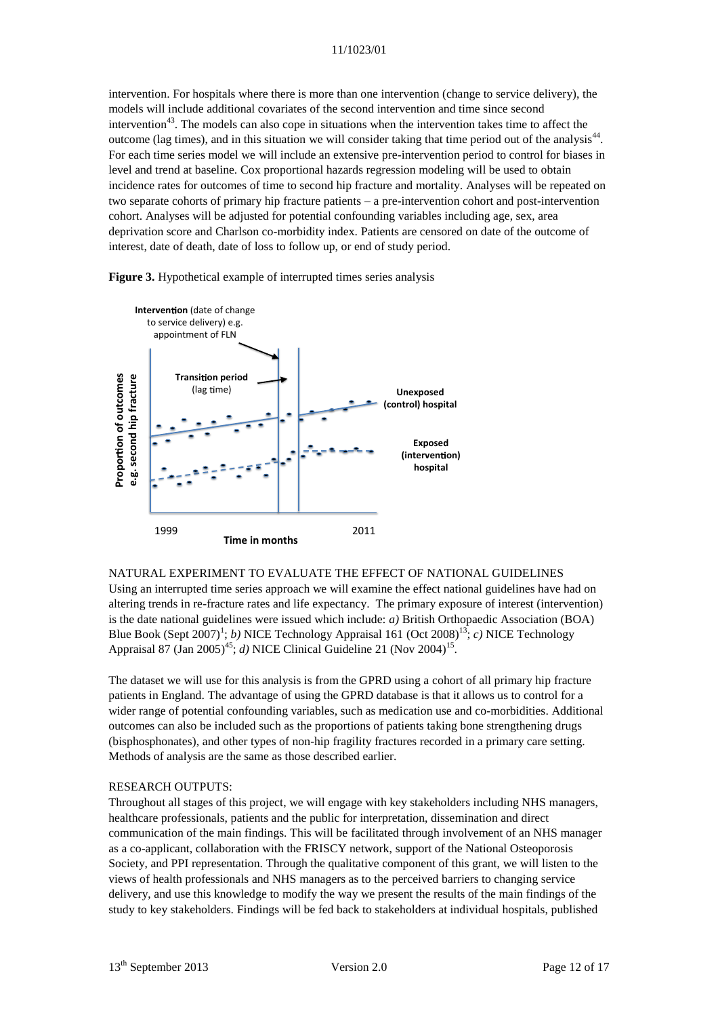intervention. For hospitals where there is more than one intervention (change to service delivery), the models will include additional covariates of the second intervention and time since second intervention<sup>[43](#page-16-11)</sup>. The models can also cope in situations when the intervention takes time to affect the outcome (lag times), and in this situation we will consider taking that time period out of the analysis<sup>[44](#page-16-12)</sup>. For each time series model we will include an extensive pre-intervention period to control for biases in level and trend at baseline. Cox proportional hazards regression modeling will be used to obtain incidence rates for outcomes of time to second hip fracture and mortality. Analyses will be repeated on two separate cohorts of primary hip fracture patients – a pre-intervention cohort and post-intervention cohort. Analyses will be adjusted for potential confounding variables including age, sex, area deprivation score and Charlson co-morbidity index. Patients are censored on date of the outcome of interest, date of death, date of loss to follow up, or end of study period.





NATURAL EXPERIMENT TO EVALUATE THE EFFECT OF NATIONAL GUIDELINES Using an interrupted time series approach we will examine the effect national guidelines have had on altering trends in re-fracture rates and life expectancy. The primary exposure of interest (intervention) is the date national guidelines were issued which include: *a)* British Orthopaedic Association (BOA) Blue Book (Sept 2007[\)](#page-14-0)<sup>1</sup>; *b*) NICE Technology Appraisal 161 (Oct 2008)<sup>[13](#page-15-6)</sup>; *c*) NICE Technology Appraisal 87 (Jan 2005)<sup>[45](#page-16-13)</sup>; *d*) NICE Clinical Guideline 21 (Nov 2004)<sup>[15](#page-15-7)</sup>.

The dataset we will use for this analysis is from the GPRD using a cohort of all primary hip fracture patients in England. The advantage of using the GPRD database is that it allows us to control for a wider range of potential confounding variables, such as medication use and co-morbidities. Additional outcomes can also be included such as the proportions of patients taking bone strengthening drugs (bisphosphonates), and other types of non-hip fragility fractures recorded in a primary care setting. Methods of analysis are the same as those described earlier.

### RESEARCH OUTPUTS:

Throughout all stages of this project, we will engage with key stakeholders including NHS managers, healthcare professionals, patients and the public for interpretation, dissemination and direct communication of the main findings. This will be facilitated through involvement of an NHS manager as a co-applicant, collaboration with the FRISCY network, support of the National Osteoporosis Society, and PPI representation. Through the qualitative component of this grant, we will listen to the views of health professionals and NHS managers as to the perceived barriers to changing service delivery, and use this knowledge to modify the way we present the results of the main findings of the study to key stakeholders. Findings will be fed back to stakeholders at individual hospitals, published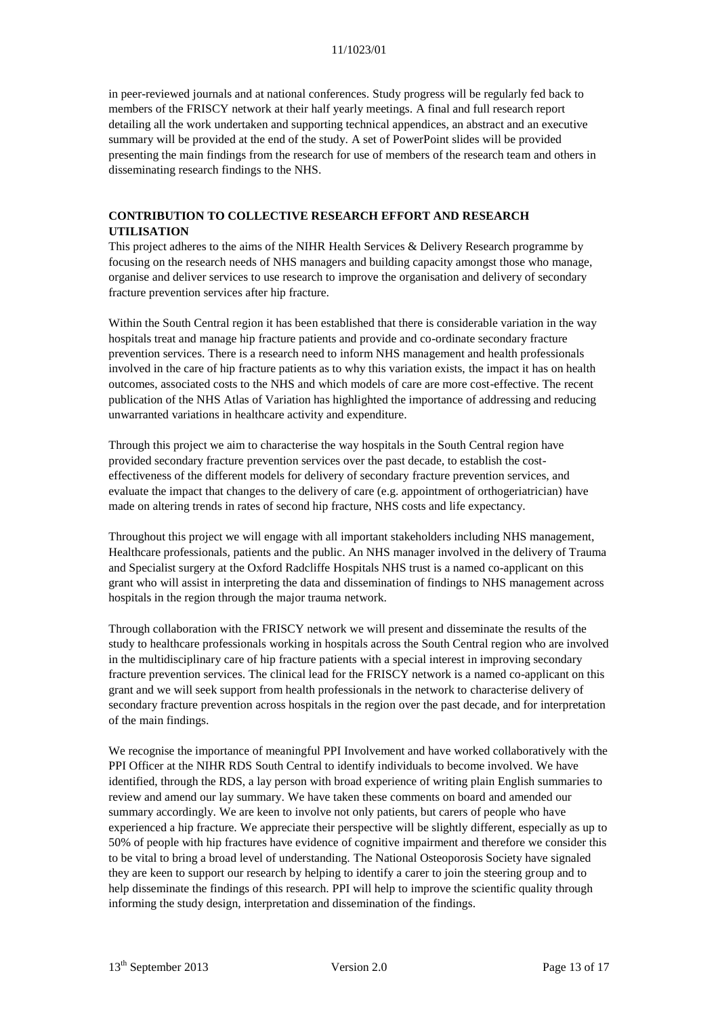in peer-reviewed journals and at national conferences. Study progress will be regularly fed back to members of the FRISCY network at their half yearly meetings. A final and full research report detailing all the work undertaken and supporting technical appendices, an abstract and an executive summary will be provided at the end of the study. A set of PowerPoint slides will be provided presenting the main findings from the research for use of members of the research team and others in disseminating research findings to the NHS.

# **CONTRIBUTION TO COLLECTIVE RESEARCH EFFORT AND RESEARCH UTILISATION**

This project adheres to the aims of the NIHR Health Services & Delivery Research programme by focusing on the research needs of NHS managers and building capacity amongst those who manage, organise and deliver services to use research to improve the organisation and delivery of secondary fracture prevention services after hip fracture.

Within the South Central region it has been established that there is considerable variation in the way hospitals treat and manage hip fracture patients and provide and co-ordinate secondary fracture prevention services. There is a research need to inform NHS management and health professionals involved in the care of hip fracture patients as to why this variation exists, the impact it has on health outcomes, associated costs to the NHS and which models of care are more cost-effective. The recent publication of the NHS Atlas of Variation has highlighted the importance of addressing and reducing unwarranted variations in healthcare activity and expenditure.

Through this project we aim to characterise the way hospitals in the South Central region have provided secondary fracture prevention services over the past decade, to establish the costeffectiveness of the different models for delivery of secondary fracture prevention services, and evaluate the impact that changes to the delivery of care (e.g. appointment of orthogeriatrician) have made on altering trends in rates of second hip fracture, NHS costs and life expectancy.

Throughout this project we will engage with all important stakeholders including NHS management, Healthcare professionals, patients and the public. An NHS manager involved in the delivery of Trauma and Specialist surgery at the Oxford Radcliffe Hospitals NHS trust is a named co-applicant on this grant who will assist in interpreting the data and dissemination of findings to NHS management across hospitals in the region through the major trauma network.

Through collaboration with the FRISCY network we will present and disseminate the results of the study to healthcare professionals working in hospitals across the South Central region who are involved in the multidisciplinary care of hip fracture patients with a special interest in improving secondary fracture prevention services. The clinical lead for the FRISCY network is a named co-applicant on this grant and we will seek support from health professionals in the network to characterise delivery of secondary fracture prevention across hospitals in the region over the past decade, and for interpretation of the main findings.

We recognise the importance of meaningful PPI Involvement and have worked collaboratively with the PPI Officer at the NIHR RDS South Central to identify individuals to become involved. We have identified, through the RDS, a lay person with broad experience of writing plain English summaries to review and amend our lay summary. We have taken these comments on board and amended our summary accordingly. We are keen to involve not only patients, but carers of people who have experienced a hip fracture. We appreciate their perspective will be slightly different, especially as up to 50% of people with hip fractures have evidence of cognitive impairment and therefore we consider this to be vital to bring a broad level of understanding. The National Osteoporosis Society have signaled they are keen to support our research by helping to identify a carer to join the steering group and to help disseminate the findings of this research. PPI will help to improve the scientific quality through informing the study design, interpretation and dissemination of the findings.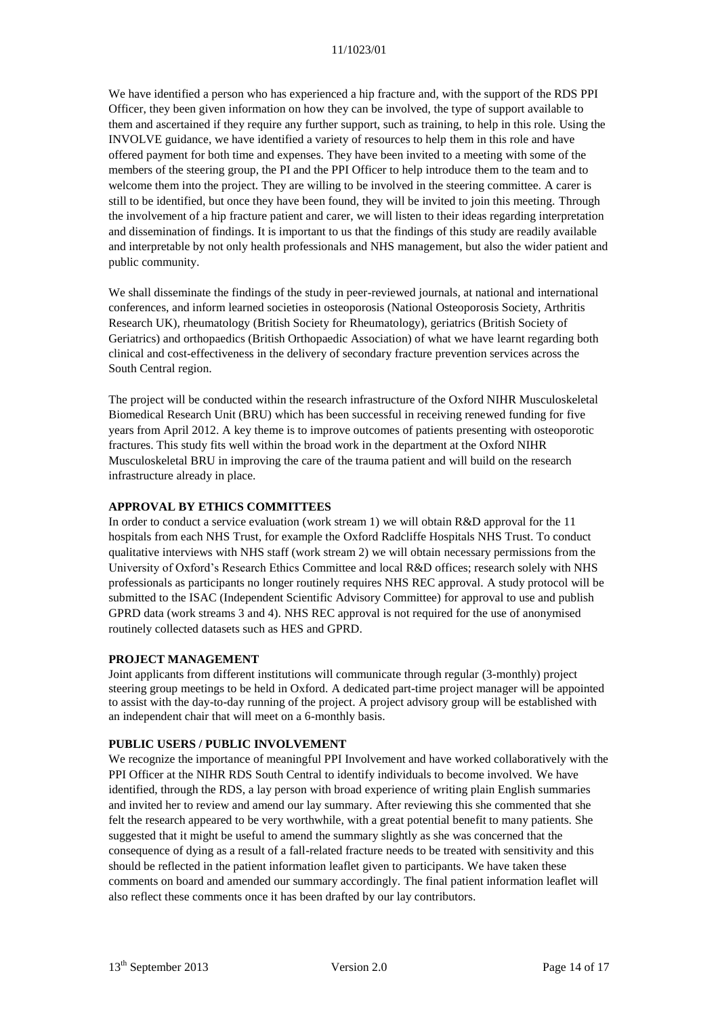We have identified a person who has experienced a hip fracture and, with the support of the RDS PPI Officer, they been given information on how they can be involved, the type of support available to them and ascertained if they require any further support, such as training, to help in this role. Using the INVOLVE guidance, we have identified a variety of resources to help them in this role and have offered payment for both time and expenses. They have been invited to a meeting with some of the members of the steering group, the PI and the PPI Officer to help introduce them to the team and to welcome them into the project. They are willing to be involved in the steering committee. A carer is still to be identified, but once they have been found, they will be invited to join this meeting. Through the involvement of a hip fracture patient and carer, we will listen to their ideas regarding interpretation and dissemination of findings. It is important to us that the findings of this study are readily available and interpretable by not only health professionals and NHS management, but also the wider patient and public community.

We shall disseminate the findings of the study in peer-reviewed journals, at national and international conferences, and inform learned societies in osteoporosis (National Osteoporosis Society, Arthritis Research UK), rheumatology (British Society for Rheumatology), geriatrics (British Society of Geriatrics) and orthopaedics (British Orthopaedic Association) of what we have learnt regarding both clinical and cost-effectiveness in the delivery of secondary fracture prevention services across the South Central region.

The project will be conducted within the research infrastructure of the Oxford NIHR Musculoskeletal Biomedical Research Unit (BRU) which has been successful in receiving renewed funding for five years from April 2012. A key theme is to improve outcomes of patients presenting with osteoporotic fractures. This study fits well within the broad work in the department at the Oxford NIHR Musculoskeletal BRU in improving the care of the trauma patient and will build on the research infrastructure already in place.

## **APPROVAL BY ETHICS COMMITTEES**

In order to conduct a service evaluation (work stream 1) we will obtain R&D approval for the 11 hospitals from each NHS Trust, for example the Oxford Radcliffe Hospitals NHS Trust. To conduct qualitative interviews with NHS staff (work stream 2) we will obtain necessary permissions from the University of Oxford's Research Ethics Committee and local R&D offices; research solely with NHS professionals as participants no longer routinely requires NHS REC approval. A study protocol will be submitted to the ISAC (Independent Scientific Advisory Committee) for approval to use and publish GPRD data (work streams 3 and 4). NHS REC approval is not required for the use of anonymised routinely collected datasets such as HES and GPRD.

### **PROJECT MANAGEMENT**

Joint applicants from different institutions will communicate through regular (3-monthly) project steering group meetings to be held in Oxford. A dedicated part-time project manager will be appointed to assist with the day-to-day running of the project. A project advisory group will be established with an independent chair that will meet on a 6-monthly basis.

#### **PUBLIC USERS / PUBLIC INVOLVEMENT**

We recognize the importance of meaningful PPI Involvement and have worked collaboratively with the PPI Officer at the NIHR RDS South Central to identify individuals to become involved. We have identified, through the RDS, a lay person with broad experience of writing plain English summaries and invited her to review and amend our lay summary. After reviewing this she commented that she felt the research appeared to be very worthwhile, with a great potential benefit to many patients. She suggested that it might be useful to amend the summary slightly as she was concerned that the consequence of dying as a result of a fall-related fracture needs to be treated with sensitivity and this should be reflected in the patient information leaflet given to participants. We have taken these comments on board and amended our summary accordingly. The final patient information leaflet will also reflect these comments once it has been drafted by our lay contributors.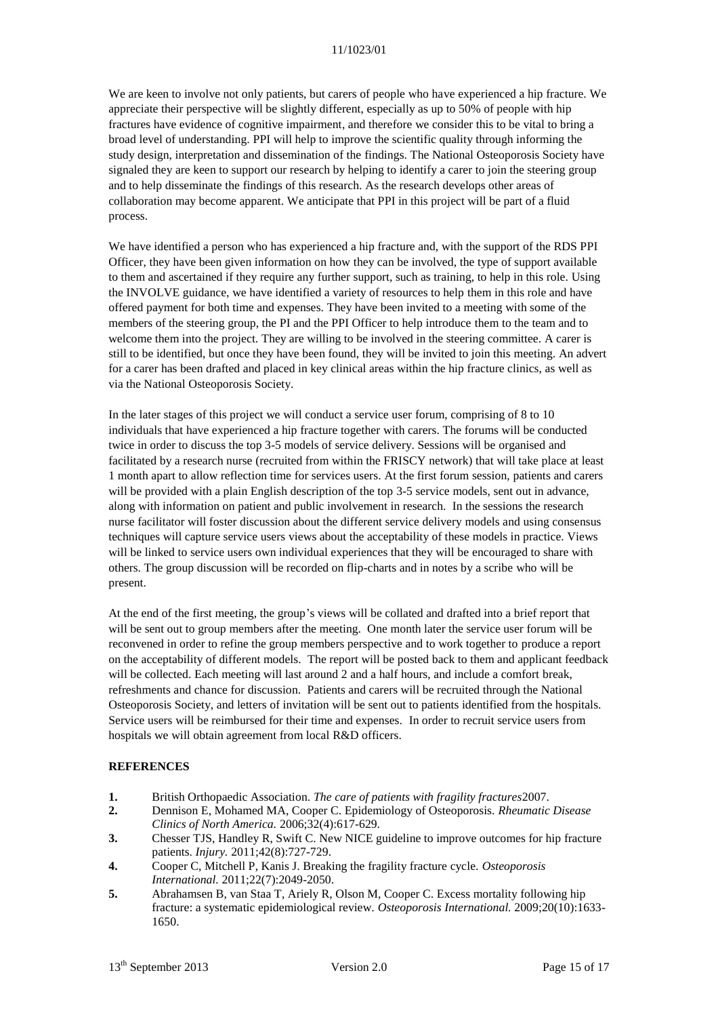We are keen to involve not only patients, but carers of people who have experienced a hip fracture. We appreciate their perspective will be slightly different, especially as up to 50% of people with hip fractures have evidence of cognitive impairment, and therefore we consider this to be vital to bring a broad level of understanding. PPI will help to improve the scientific quality through informing the study design, interpretation and dissemination of the findings. The National Osteoporosis Society have signaled they are keen to support our research by helping to identify a carer to join the steering group and to help disseminate the findings of this research. As the research develops other areas of collaboration may become apparent. We anticipate that PPI in this project will be part of a fluid process.

We have identified a person who has experienced a hip fracture and, with the support of the RDS PPI Officer, they have been given information on how they can be involved, the type of support available to them and ascertained if they require any further support, such as training, to help in this role. Using the INVOLVE guidance, we have identified a variety of resources to help them in this role and have offered payment for both time and expenses. They have been invited to a meeting with some of the members of the steering group, the PI and the PPI Officer to help introduce them to the team and to welcome them into the project. They are willing to be involved in the steering committee. A carer is still to be identified, but once they have been found, they will be invited to join this meeting. An advert for a carer has been drafted and placed in key clinical areas within the hip fracture clinics, as well as via the National Osteoporosis Society.

In the later stages of this project we will conduct a service user forum, comprising of 8 to 10 individuals that have experienced a hip fracture together with carers. The forums will be conducted twice in order to discuss the top 3-5 models of service delivery. Sessions will be organised and facilitated by a research nurse (recruited from within the FRISCY network) that will take place at least 1 month apart to allow reflection time for services users. At the first forum session, patients and carers will be provided with a plain English description of the top 3-5 service models, sent out in advance, along with information on patient and public involvement in research. In the sessions the research nurse facilitator will foster discussion about the different service delivery models and using consensus techniques will capture service users views about the acceptability of these models in practice. Views will be linked to service users own individual experiences that they will be encouraged to share with others. The group discussion will be recorded on flip-charts and in notes by a scribe who will be present.

At the end of the first meeting, the group's views will be collated and drafted into a brief report that will be sent out to group members after the meeting. One month later the service user forum will be reconvened in order to refine the group members perspective and to work together to produce a report on the acceptability of different models. The report will be posted back to them and applicant feedback will be collected. Each meeting will last around 2 and a half hours, and include a comfort break, refreshments and chance for discussion. Patients and carers will be recruited through the National Osteoporosis Society, and letters of invitation will be sent out to patients identified from the hospitals. Service users will be reimbursed for their time and expenses. In order to recruit service users from hospitals we will obtain agreement from local R&D officers.

### **REFERENCES**

- <span id="page-14-0"></span>**1.** British Orthopaedic Association. *The care of patients with fragility fractures*2007.
- <span id="page-14-1"></span>**2.** Dennison E, Mohamed MA, Cooper C. Epidemiology of Osteoporosis. *Rheumatic Disease Clinics of North America.* 2006;32(4):617-629.
- <span id="page-14-2"></span>**3.** Chesser TJS, Handley R, Swift C. New NICE guideline to improve outcomes for hip fracture patients. *Injury.* 2011;42(8):727-729.
- <span id="page-14-3"></span>**4.** Cooper C, Mitchell P, Kanis J. Breaking the fragility fracture cycle. *Osteoporosis International.* 2011;22(7):2049-2050.
- **5.** Abrahamsen B, van Staa T, Ariely R, Olson M, Cooper C. Excess mortality following hip fracture: a systematic epidemiological review. *Osteoporosis International.* 2009;20(10):1633- 1650.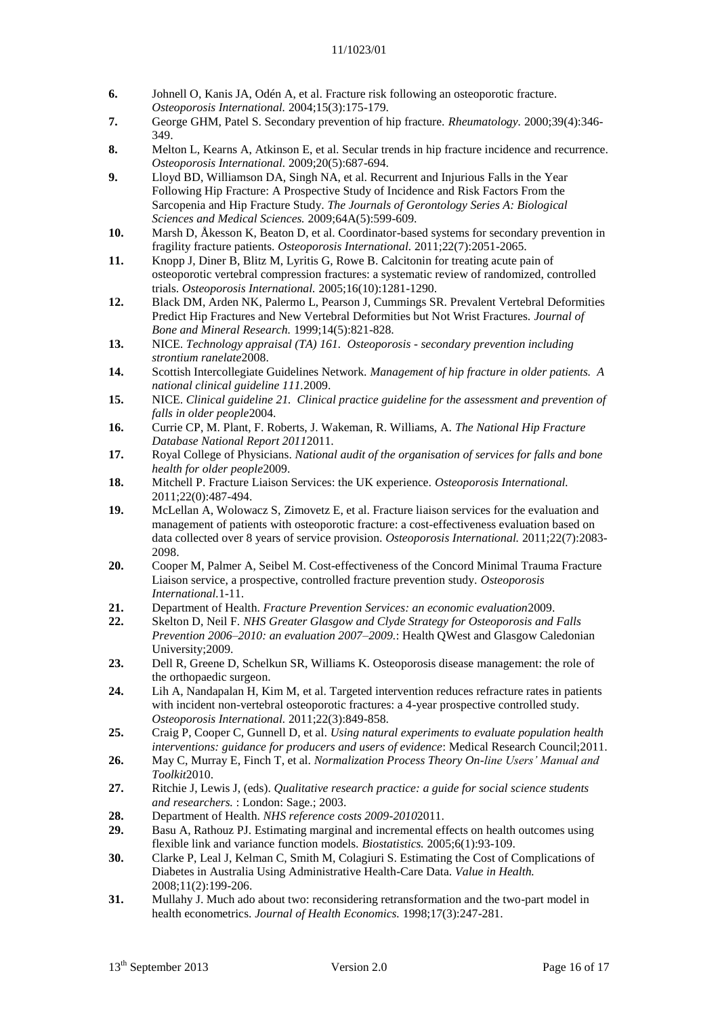- **6.** Johnell O, Kanis JA, Odén A, et al. Fracture risk following an osteoporotic fracture. *Osteoporosis International.* 2004;15(3):175-179.
- <span id="page-15-0"></span>**7.** George GHM, Patel S. Secondary prevention of hip fracture. *Rheumatology.* 2000;39(4):346- 349.
- <span id="page-15-1"></span>**8.** Melton L, Kearns A, Atkinson E, et al. Secular trends in hip fracture incidence and recurrence. *Osteoporosis International.* 2009;20(5):687-694.
- <span id="page-15-2"></span>**9.** Lloyd BD, Williamson DA, Singh NA, et al. Recurrent and Injurious Falls in the Year Following Hip Fracture: A Prospective Study of Incidence and Risk Factors From the Sarcopenia and Hip Fracture Study. *The Journals of Gerontology Series A: Biological Sciences and Medical Sciences.* 2009;64A(5):599-609.
- <span id="page-15-3"></span>**10.** Marsh D, Åkesson K, Beaton D, et al. Coordinator-based systems for secondary prevention in fragility fracture patients. *Osteoporosis International.* 2011;22(7):2051-2065.
- <span id="page-15-4"></span>**11.** Knopp J, Diner B, Blitz M, Lyritis G, Rowe B. Calcitonin for treating acute pain of osteoporotic vertebral compression fractures: a systematic review of randomized, controlled trials. *Osteoporosis International.* 2005;16(10):1281-1290.
- **12.** Black DM, Arden NK, Palermo L, Pearson J, Cummings SR. Prevalent Vertebral Deformities Predict Hip Fractures and New Vertebral Deformities but Not Wrist Fractures. *Journal of Bone and Mineral Research.* 1999;14(5):821-828.
- <span id="page-15-6"></span>**13.** NICE. *Technology appraisal (TA) 161. Osteoporosis - secondary prevention including strontium ranelate*2008.
- <span id="page-15-5"></span>**14.** Scottish Intercollegiate Guidelines Network. *Management of hip fracture in older patients. A national clinical guideline 111.*2009.
- <span id="page-15-7"></span>**15.** NICE. *Clinical guideline 21. Clinical practice guideline for the assessment and prevention of falls in older people*2004.
- <span id="page-15-8"></span>**16.** Currie CP, M. Plant, F. Roberts, J. Wakeman, R. Williams, A. *The National Hip Fracture Database National Report 2011*2011.
- <span id="page-15-9"></span>**17.** Royal College of Physicians. *National audit of the organisation of services for falls and bone health for older people*2009.
- <span id="page-15-10"></span>**18.** Mitchell P. Fracture Liaison Services: the UK experience. *Osteoporosis International.*  2011;22(0):487-494.
- <span id="page-15-11"></span>**19.** McLellan A, Wolowacz S, Zimovetz E, et al. Fracture liaison services for the evaluation and management of patients with osteoporotic fracture: a cost-effectiveness evaluation based on data collected over 8 years of service provision. *Osteoporosis International.* 2011;22(7):2083- 2098.
- <span id="page-15-12"></span>**20.** Cooper M, Palmer A, Seibel M. Cost-effectiveness of the Concord Minimal Trauma Fracture Liaison service, a prospective, controlled fracture prevention study. *Osteoporosis International.*1-11.
- <span id="page-15-13"></span>**21.** Department of Health. *Fracture Prevention Services: an economic evaluation*2009.
- <span id="page-15-14"></span>**22.** Skelton D, Neil F. *NHS Greater Glasgow and Clyde Strategy for Osteoporosis and Falls Prevention 2006–2010: an evaluation 2007–2009.*: Health QWest and Glasgow Caledonian University;2009.
- <span id="page-15-15"></span>**23.** Dell R, Greene D, Schelkun SR, Williams K. Osteoporosis disease management: the role of the orthopaedic surgeon.
- <span id="page-15-16"></span>**24.** Lih A, Nandapalan H, Kim M, et al. Targeted intervention reduces refracture rates in patients with incident non-vertebral osteoporotic fractures: a 4-year prospective controlled study. *Osteoporosis International.* 2011;22(3):849-858.
- <span id="page-15-17"></span>**25.** Craig P, Cooper C, Gunnell D, et al. *Using natural experiments to evaluate population health interventions: guidance for producers and users of evidence*: Medical Research Council;2011.
- <span id="page-15-18"></span>**26.** May C, Murray E, Finch T, et al. *Normalization Process Theory On-line Users' Manual and Toolkit*2010.
- <span id="page-15-19"></span>**27.** Ritchie J, Lewis J, (eds). *Qualitative research practice: a guide for social science students and researchers.* : London: Sage.; 2003.
- <span id="page-15-20"></span>**28.** Department of Health. *NHS reference costs 2009-2010*2011.
- <span id="page-15-21"></span>**29.** Basu A, Rathouz PJ. Estimating marginal and incremental effects on health outcomes using flexible link and variance function models. *Biostatistics.* 2005;6(1):93-109.
- **30.** Clarke P, Leal J, Kelman C, Smith M, Colagiuri S. Estimating the Cost of Complications of Diabetes in Australia Using Administrative Health-Care Data. *Value in Health.*  2008;11(2):199-206.
- **31.** Mullahy J. Much ado about two: reconsidering retransformation and the two-part model in health econometrics. *Journal of Health Economics.* 1998;17(3):247-281.